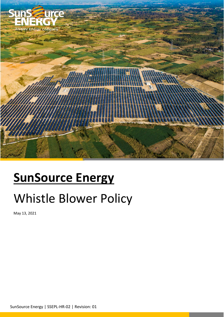

# **SunSource Energy**

## Whistle Blower Policy

May 13, 2021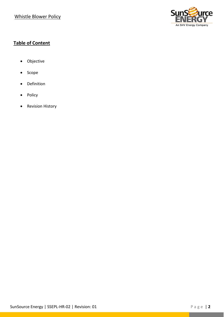

## **Table of Content**

- Objective
- Scope
- Definition
- Policy
- Revision History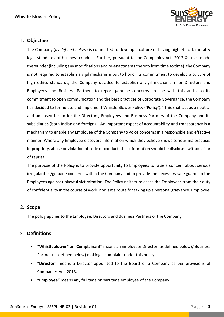

## 1. **Objective**

The Company (*as defined below*) is committed to develop a culture of having high ethical, moral & legal standards of business conduct. Further, pursuant to the Companies Act, 2013 & rules made thereunder (including any modifications and re-enactments thereto from time to time), the Company is not required to establish a vigil mechanism but to honor its commitment to develop a culture of high ethics standards, the Company decided to establish a vigil mechanism for Directors and Employees and Business Partners to report genuine concerns. In line with this and also its commitment to open communication and the best practices of Corporate Governance, the Company has decided to formulate and implement Whistle Blower Policy ('**Policy**')." This shall act as a neutral and unbiased forum for the Directors, Employees and Business Partners of the Company and its subsidiaries (both Indian and foreign). An important aspect of accountability and transparency is a mechanism to enable any Employee of the Company to voice concerns in a responsible and effective manner. Where any Employee discovers information which they believe shows serious malpractice, impropriety, abuse or violation of code of conduct, this information should be disclosed without fear of reprisal.

The purpose of the Policy is to provide opportunity to Employees to raise a concern about serious irregularities/genuine concerns within the Company and to provide the necessary safe guards to the Employees against unlawful victimization. The Policy neither releases the Employees from their duty of confidentiality in the course of work, nor is it a route for taking up a personal grievance. Employee.

#### 2. **Scope**

The policy applies to the Employee, Directors and Business Partners of the Company.

#### 3. **Definitions**

- **"Whistleblower"** or **"Complainant"** means an Employee/ Director (as defined below)/ Business Partner (as defined below) making a complaint under this policy.
- **"Director"** means a Director appointed to the Board of a Company as per provisions of Companies Act, 2013.
- **"Employee"** means any full time or part time employee of the Company.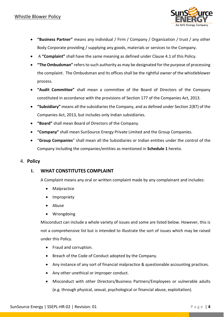

- **"Business Partner"** means any individual / Firm / Company / Organization / trust / any other Body Corporate providing / supplying any goods, materials or services to the Company.
- A **"Complaint"** shall have the same meaning as defined under Clause 4.1 of this Policy.
- **"The Ombudsman"** refers to such authority as may be designated for the purpose of processing the complaint. The Ombudsman and its offices shall be the rightful owner of the whistleblower process.
- **"Audit Committee"** shall mean a committee of the Board of Directors of the Company constituted in accordance with the provisions of Section 177 of the Companies Act, 2013.
- **"Subsidiary"** means all the subsidiariesthe Company, and as defined under Section 2(87) of the Companies Act, 2013, but includes only Indian subsidiaries.
- **"Board"** shall mean Board of Directors of the Company.
- **"Company"** shall mean SunSource Energy Private Limited and the Group Companies.
- "**Group Companies**" shall mean all the Subsidiaries or Indian entities under the control of the Company including the companies/entities as mentioned in **Schedule 1** hereto.

## 4. **Policy**

## **I. WHAT CONSTITUTES COMPLAINT**

A Complaint means any oral or written complaint made by any complainant and includes:

- Malpractice
- Impropriety
- Abuse
- Wrongdoing

Misconduct can include a whole variety of issues and some are listed below. However, this is not a comprehensive list but is intended to illustrate the sort of issues which may be raised under this Policy.

- Fraud and corruption.
- Breach of the Code of Conduct adopted by the Company.
- Any instance of any sort of financial malpractice & questionable accounting practices.
- Any other unethical or improper conduct.
- Misconduct with other Directors/Business Partners/Employees or vulnerable adults (e.g. through physical, sexual, psychological or financial abuse, exploitation).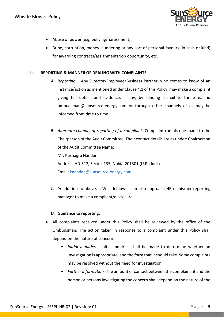

- Abuse of power (e.g. bullying/harassment).
- Bribe, corruption, money laundering or any sort of personal favours (in cash or kind) for awarding contracts/assignments/job opportunity, etc.

#### **II. REPORTING & MANNER OF DEALING WITH COMPLAINTS**

- *A. Reporting* Any Director/Employee/Business Partner, who comes to know of an instance/action as mentioned under Clause 4.1 of this Policy, may make a complaint giving full details and evidence, if any, by sending a mail to the e-mail id ombudsman@sunsource-energy.com or through other channels of as may be informed from time to time.
- *B. Alternate channel of reporting of a complaint:* Complaint can also be made to the Chairperson of the Audit Committee. Their contact details are as under: Chairperson of the Audit Committee Name: Mr. Kushagra Nandan Address: HD-312, Sector-135, Noida-201301 (U.P.) India

Email: [knandan@sunsource-energy.com](mailto:knandan@sunsource-energy.com)

*C. In* addition to above, a Whistleblower can also approach HR or his/her reporting manager to make a compliant/disclosure.

#### *D.* **Guidance to reporting:**

- All complaints received under this Policy shall be reviewed by the office of the Ombudsman. The action taken in response to a complaint under this Policy shall depend on the nature of concern.
	- *Initial Inquiries* Initial inquiries shall be made to determine whether an investigation is appropriate, and the form that it should take. Some complaints may be resolved without the need for investigation.
	- *Further Information* -The amount of contact between the complainant and the person or persons investigating the concern shall depend on the nature of the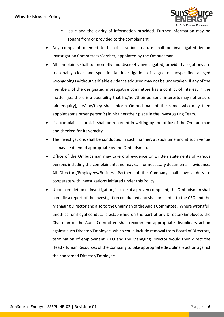

- issue and the clarity of information provided. Further information may be sought from or provided to the complainant.
- Any complaint deemed to be of a serious nature shall be investigated by an Investigation Committee/Member, appointed by the Ombudsman.
- All complaints shall be promptly and discreetly investigated, provided allegations are reasonably clear and specific. An investigation of vague or unspecified alleged wrongdoings without verifiable evidence adduced may not be undertaken. If any of the members of the designated investigative committee has a conflict of interest in the matter (i.e. there is a possibility that his/her/their personal interests may not ensure fair enquiry), he/she/they shall inform Ombudsman of the same, who may then appoint some other person(s) in his/ her/their place in the Investigating Team.
- If a complaint is oral, it shall be recorded in writing by the office of the Ombudsman and checked for its veracity.
- The investigations shall be conducted in such manner, at such time and at such venue as may be deemed appropriate by the Ombudsman.
- Office of the Ombudsman may take oral evidence or written statements of various persons including the complainant, and may call for necessary documents in evidence. All Directors/Employees/Business Partners of the Company shall have a duty to cooperate with investigations initiated under this Policy.
- Upon completion of investigation, in case of a proven complaint, the Ombudsman shall compile a report of the investigation conducted and shall present it to the CEO and the Managing Director and also to the Chairman of the Audit Committee. Where wrongful, unethical or illegal conduct is established on the part of any Director/Employee, the Chairman of the Audit Committee shall recommend appropriate disciplinary action against such Director/Employee, which could include removal from Board of Directors, termination of employment. CEO and the Managing Director would then direct the Head -Human Resources of the Company to take appropriate disciplinary action against the concerned Director/Employee.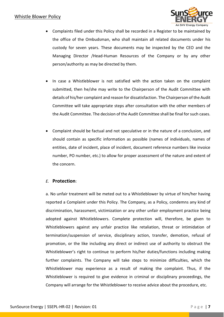

- Complaints filed under this Policy shall be recorded in a Register to be maintained by the office of the Ombudsman, who shall maintain all related documents under his custody for seven years. These documents may be inspected by the CEO and the Managing Director /Head-Human Resources of the Company or by any other person/authority as may be directed by them.
- In case a Whistleblower is not satisfied with the action taken on the complaint submitted, then he/she may write to the Chairperson of the Audit Committee with details of his/her complaint and reason for dissatisfaction. The Chairperson of the Audit Committee will take appropriate steps after consultation with the other members of the Audit Committee. The decision of the Audit Committee shall be final for such cases.
- Complaint should be factual and not speculative or in the nature of a conclusion, and should contain as specific information as possible (names of individuals, names of entities, date of incident, place of incident, document reference numbers like invoice number, PO number, etc.) to allow for proper assessment of the nature and extent of the concern.

## *E.* **Protection**:

a. No unfair treatment will be meted out to a Whistleblower by virtue of him/her having reported a Complaint under this Policy. The Company, as a Policy, condemns any kind of discrimination, harassment, victimization or any other unfair employment practice being adopted against Whistleblowers. Complete protection will, therefore, be given to Whistleblowers against any unfair practice like retaliation, threat or intimidation of termination/suspension of service, disciplinary action, transfer, demotion, refusal of promotion, or the like including any direct or indirect use of authority to obstruct the Whistleblower's right to continue to perform his/her duties/functions including making further complaints. The Company will take steps to minimize difficulties, which the Whistleblower may experience as a result of making the complaint. Thus, if the Whistleblower is required to give evidence in criminal or disciplinary proceedings, the Company will arrange for the Whistleblower to receive advice about the procedure, etc.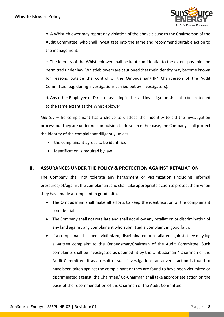

b. A Whistleblower may report any violation of the above clause to the Chairperson of the Audit Committee, who shall investigate into the same and recommend suitable action to the management.

c. The identity of the Whistleblower shall be kept confidential to the extent possible and permitted under law. Whistleblowers are cautioned that their identity may become known for reasons outside the control of the Ombudsman/HR/ Chairperson of the Audit Committee (e.g. during investigations carried out by Investigators).

d. Any other Employee or Director assisting in the said investigation shall also be protected to the same extent as the Whistleblower.

*Identity* –The complainant has a choice to disclose their identity to aid the investigation process but they are under no compulsion to do so. In either case, the Company shall protect the identity of the complainant diligently unless

- the complainant agrees to be identified
- identification is required by law

## **III. ASSURANCES UNDER THE POLICY & PROTECTION AGAINST RETALIATION**

The Company shall not tolerate any harassment or victimization (including informal pressures) of/against the complainant and shall take appropriate action to protect them when they have made a complaint in good faith.

- The Ombudsman shall make all efforts to keep the identification of the complainant confidential.
- The Company shall not retaliate and shall not allow any retaliation or discrimination of any kind against any complainant who submitted a complaint in good faith.
- If a complainant has been victimized, discriminated or retaliated against, they may log a written complaint to the Ombudsman/Chairman of the Audit Committee. Such complaints shall be investigated as deemed fit by the Ombudsman / Chairman of the Audit Committee. If as a result of such investigations, an adverse action is found to have been taken against the complainant or they are found to have been victimized or discriminated against, the Chairman/ Co-Chairman shall take appropriate action on the basis of the recommendation of the Chairman of the Audit Committee.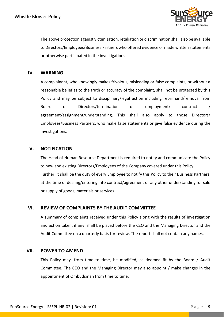

The above protection against victimization, retaliation or discrimination shall also be available to Directors/Employees/Business Partners who offered evidence or made written statements or otherwise participated in the investigations.

### **IV. WARNING**

A complainant, who knowingly makes frivolous, misleading or false complaints, or without a reasonable belief as to the truth or accuracy of the complaint, shall not be protected by this Policy and may be subject to disciplinary/legal action including reprimand/removal from Board of Directors/termination of employment/ contract / agreement/assignment/understanding. This shall also apply to those Directors/ Employees/Business Partners, who make false statements or give false evidence during the investigations.

### **V. NOTIFICATION**

The Head of Human Resource Department is required to notify and communicate the Policy to new and existing Directors/Employees of the Company covered under this Policy. Further, it shall be the duty of every Employee to notify this Policy to their Business Partners, at the time of dealing/entering into contract/agreement or any other understanding for sale or supply of goods, materials or services.

## **VI. REVIEW OF COMPLAINTS BY THE AUDIT COMMITTEE**

A summary of complaints received under this Policy along with the results of investigation and action taken, if any, shall be placed before the CEO and the Managing Director and the Audit Committee on a quarterly basis for review. The report shall not contain any names.

#### **VII. POWER TO AMEND**

This Policy may, from time to time, be modified, as deemed fit by the Board / Audit Committee. The CEO and the Managing Director may also appoint / make changes in the appointment of Ombudsman from time to time.